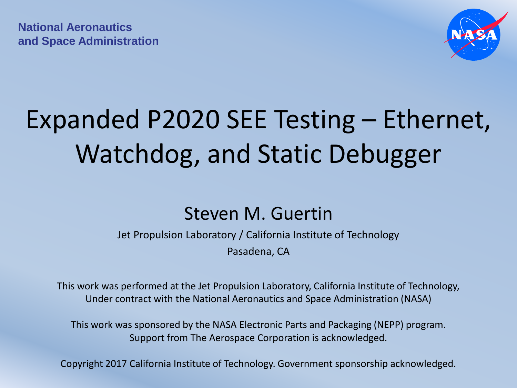**National Aeronautics and Space Administration** 



## Expanded P2020 SEE Testing – Ethernet, Watchdog, and Static Debugger

#### Steven M. Guertin

Jet Propulsion Laboratory / California Institute of Technology Pasadena, CA

This work was performed at the Jet Propulsion Laboratory, California Institute of Technology, Under contract with the National Aeronautics and Space Administration (NASA)

This work was sponsored by the NASA Electronic Parts and Packaging (NEPP) program. Support from The Aerospace Corporation is acknowledged.

Copyright 2017 California Institute of Technology. Government sponsorship acknowledged.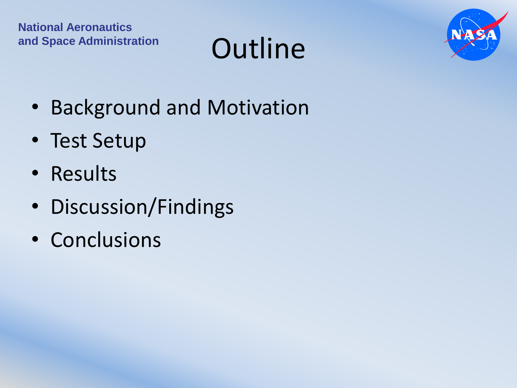## and Space Administration **Outline**



- Background and Motivation
- Test Setup
- Results
- Discussion/Findings
- Conclusions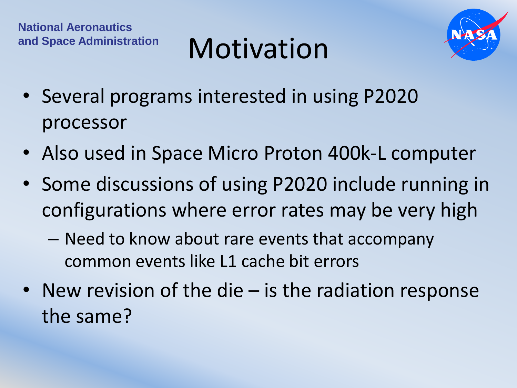## and Space Administration **Motivation**



- Several programs interested in using P2020 processor
- Also used in Space Micro Proton 400k-L computer
- Some discussions of using P2020 include running in configurations where error rates may be very high
	- Need to know about rare events that accompany common events like L1 cache bit errors
- New revision of the die is the radiation response the same?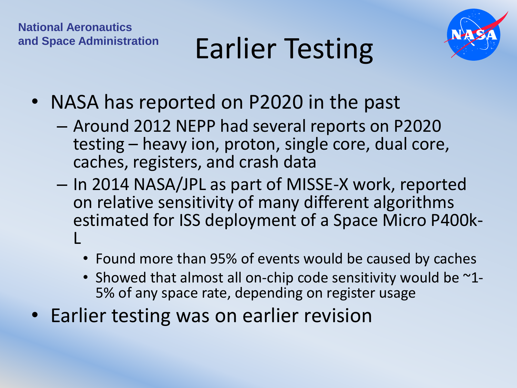

## and Space Administration **Earlier Testing**

- NASA has reported on P2020 in the past
	- Around 2012 NEPP had several reports on P2020 testing – heavy ion, proton, single core, dual core, caches, registers, and crash data
	- In 2014 NASA/JPL as part of MISSE-X work, reported on relative sensitivity of many different algorithms estimated for ISS deployment of a Space Micro P400k-L
		- Found more than 95% of events would be caused by caches
		- Showed that almost all on-chip code sensitivity would be  $\sim$ 1-5% of any space rate, depending on register usage
- Earlier testing was on earlier revision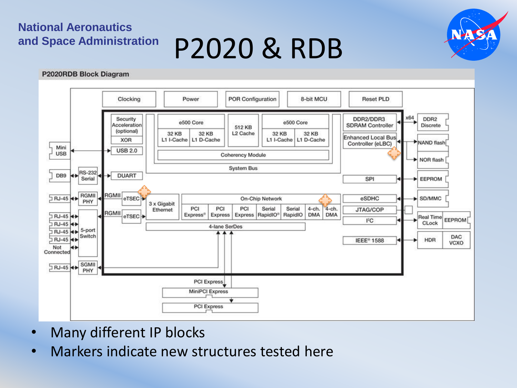## **and Space Administration** P2020 & RDB



#### P2020RDB Block Diagram



- Many different IP blocks
- Markers indicate new structures tested here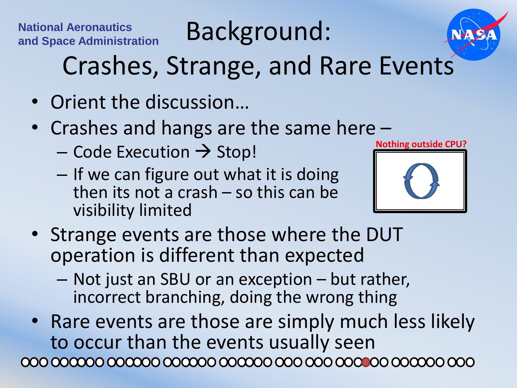**National Aeronautics**<br>and Space Administration **Background:** 



## Crashes, Strange, and Rare Events

- Orient the discussion…
- Crashes and hangs are the same here
	- $-$  Code Execution  $\rightarrow$  Stop!
	- If we can figure out what it is doing then its not a crash – so this can be visibility limited



- Strange events are those where the DUT operation is different than expected
	- Not just an SBU or an exception but rather, incorrect branching, doing the wrong thing
- Rare events are those are simply much less likely to occur than the events usually seen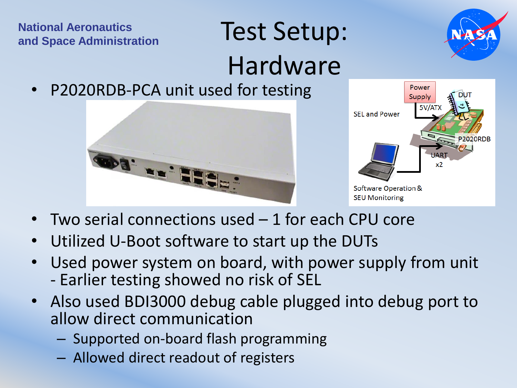#### **National Aeronautics National Aeronautics**<br> **and Space Administration**<br> **Test Setup:**

# Hardware

• P2020RDB-PCA unit used for testing





- **Two serial connections used**  $-1$  **for each CPU core**
- Utilized U-Boot software to start up the DUTs
- Used power system on board, with power supply from unit - Earlier testing showed no risk of SEL
- Also used BDI3000 debug cable plugged into debug port to allow direct communication
	- Supported on-board flash programming
	- Allowed direct readout of registers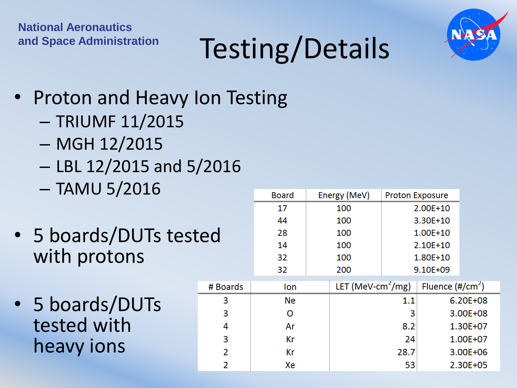

## and Space Administration **Testing/Details**

- Proton and Heavy Ion Testing
	- TRIUMF 11/2015
	- MGH 12/2015
	- LBL 12/2015 and 5/2016
	- TAMU 5/2016
- 5 boards/DUTs tested with protons
- 5 boards/DUTs tested with heavy ions

|          | <b>Board</b> |     | Energy (MeV)                  | <b>Proton Exposure</b> |                     |  |
|----------|--------------|-----|-------------------------------|------------------------|---------------------|--|
|          | 17           |     | 100                           | 2.00E+10               |                     |  |
| :d       | 44           |     | 100                           | 3.30E+10               |                     |  |
|          | 28           |     | 100                           | 1.00E+10               |                     |  |
|          | 14           | 100 |                               | 2.10E+10               |                     |  |
|          | 32           |     | 100                           |                        | 1.80E+10            |  |
|          | 32           |     | 200                           |                        | 9.10E+09            |  |
| # Boards | lon          |     | LET (MeV-cm <sup>2</sup> /mg) |                        | Fluence $(\#/cm^2)$ |  |
| 3        | Ne           |     | 1.1                           |                        | 6.20E+08            |  |
| 3        | O            |     | 3                             |                        | 3.00E+08            |  |
| 4        | Ar           |     | 8.2                           |                        | 1.30E+07            |  |
| 3        | Kr           |     | 24                            |                        | 1.00E+07            |  |
| 2        | Кr           |     | 28.7                          |                        | 3.00E+06            |  |
| 2        | Xe           |     | 53                            |                        | 2.30E+05            |  |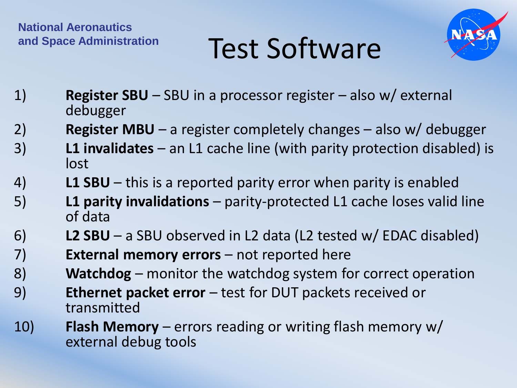



- 1) **Register SBU**  SBU in a processor register also w/ external debugger
- 2) **Register MBU**  a register completely changes also w/ debugger
- 3) **L1 invalidates**  an L1 cache line (with parity protection disabled) is lost
- 4) **L1 SBU**  this is a reported parity error when parity is enabled
- 5) **L1 parity invalidations**  parity-protected L1 cache loses valid line of data
- 6) **L2 SBU**  a SBU observed in L2 data (L2 tested w/ EDAC disabled)
- 7) **External memory errors**  not reported here
- 8) **Watchdog** monitor the watchdog system for correct operation
- 9) **Ethernet packet error**  test for DUT packets received or transmitted
- 10) **Flash Memory**  errors reading or writing flash memory w/ external debug tools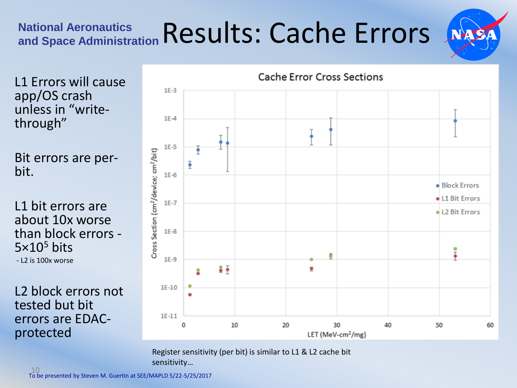## **National Aeronautics and Space Administration** Results: Cache Errors

L1 Errors will cause app/OS crash unless in "writethrough"

Bit errors are perbit.

L1 bit errors are about 10x worse than block errors -  $5\times10^5$  bits - L2 is 100x worse

L2 block errors not tested but bit errors are EDACprotected



Register sensitivity (per bit) is similar to L1 & L2 cache bit sensitivity…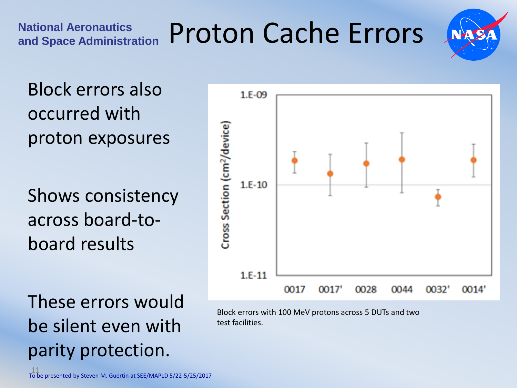

Block errors also occurred with proton exposures

**National Aeronautics** 

Shows consistency across board-toboard results

These errors would be silent even with parity protection.



Block errors with 100 MeV protons across 5 DUTs and two test facilities.

11 To be presented by Steven M. Guertin at SEE/MAPLD 5/22-5/25/2017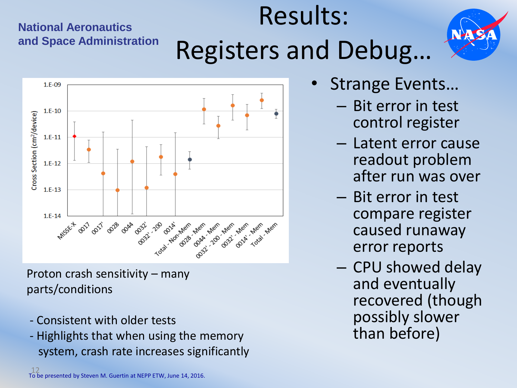#### **National Aeronautics and Space Administration**

## Results: Registers and Debug…



Proton crash sensitivity – many parts/conditions

- Consistent with older tests
- Highlights that when using the memory system, crash rate increases significantly
- Strange Events…
	- Bit error in test control register
	- Latent error cause readout problem after run was over
	- Bit error in test compare register caused runaway error reports
	- CPU showed delay and eventually recovered (though possibly slower than before)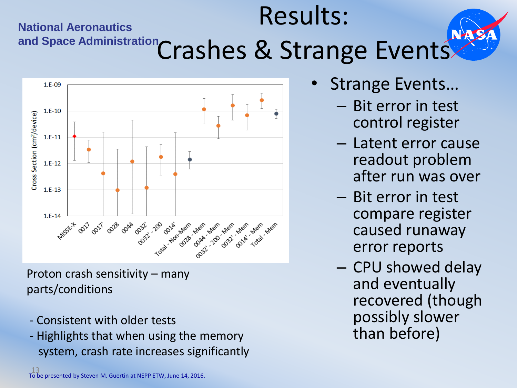### **National Aeronautics**  and Space Administration **Crashes & Strange Events** Results:



Proton crash sensitivity – many parts/conditions

- Consistent with older tests
- Highlights that when using the memory system, crash rate increases significantly
- Strange Events…
	- Bit error in test control register
	- Latent error cause readout problem after run was over
	- Bit error in test compare register caused runaway error reports
	- CPU showed delay and eventually recovered (though possibly slower than before)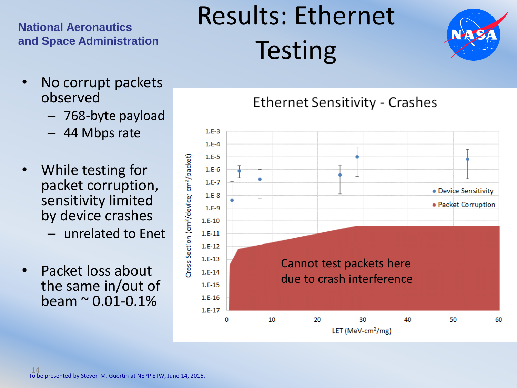#### **National Aeronautics and Space Administration**

Results: Ethernet **Testing** 



- No corrupt packets observed
	- 768-byte payload
	- 44 Mbps rate
- While testing for packet corruption, sensitivity limited by device crashes
	- unrelated to Enet
- Packet loss about the same in/out of  $beam < 0.01 - 0.1\%$

#### **Ethernet Sensitivity - Crashes**

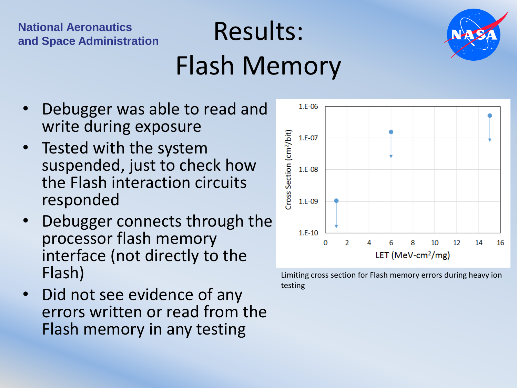#### **National Aeronautics National Aeronautics**<br>and Space Administration<br>**Results:**

## Flash Memory



- Debugger was able to read and write during exposure
- Tested with the system suspended, just to check how the Flash interaction circuits responded
- Debugger connects through the processor flash memory interface (not directly to the Flash)
- Did not see evidence of any errors written or read from the Flash memory in any testing



Limiting cross section for Flash memory errors during heavy ion testing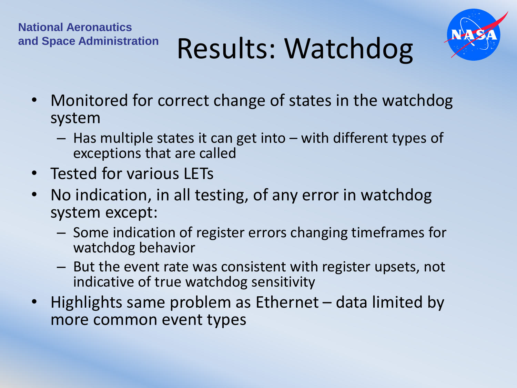



- Monitored for correct change of states in the watchdog system
	- Has multiple states it can get into with different types of exceptions that are called
- Tested for various LETs
- No indication, in all testing, of any error in watchdog system except:
	- Some indication of register errors changing timeframes for watchdog behavior
	- But the event rate was consistent with register upsets, not indicative of true watchdog sensitivity
- Highlights same problem as Ethernet data limited by more common event types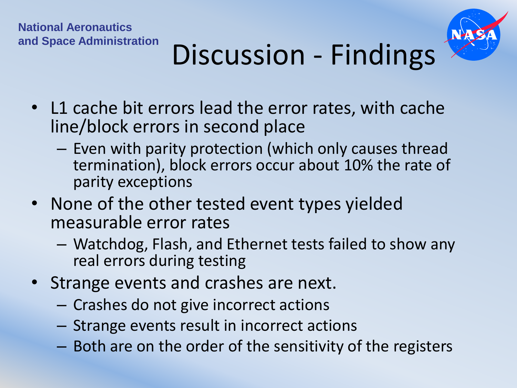

## and Space Administration **Discussion** - Findings

- L1 cache bit errors lead the error rates, with cache line/block errors in second place
	- Even with parity protection (which only causes thread termination), block errors occur about 10% the rate of parity exceptions
- None of the other tested event types yielded measurable error rates
	- Watchdog, Flash, and Ethernet tests failed to show any real errors during testing
- Strange events and crashes are next.
	- Crashes do not give incorrect actions
	- Strange events result in incorrect actions
	- Both are on the order of the sensitivity of the registers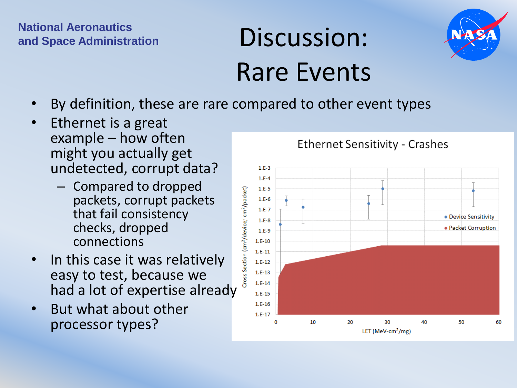#### **National Aeronautics Andronal Administration**<br>and Space Administration<br> $\qquad \qquad \text{DISCUSSION:}$

## Rare Events



- By definition, these are rare compared to other event types
- Ethernet is a great example – how often might you actually get undetected, corrupt data?
	- Compared to dropped packets, corrupt packets that fail consistency checks, dropped connections
- In this case it was relatively easy to test, because we had a lot of expertise already
- But what about other processor types?



#### **Ethernet Sensitivity - Crashes**